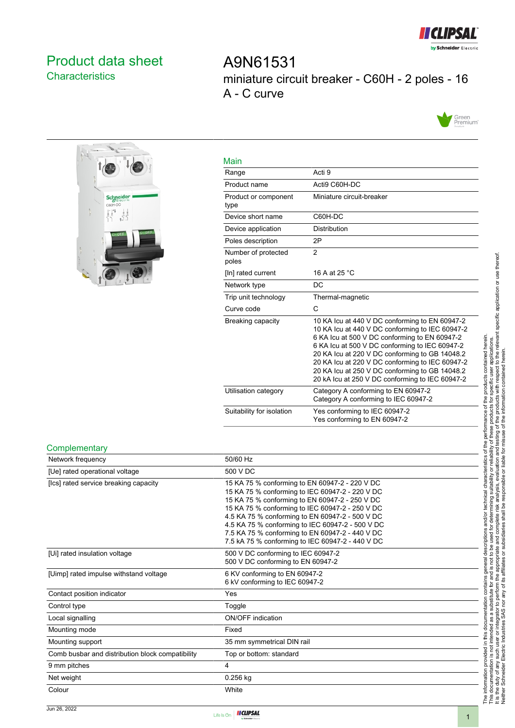

# <span id="page-0-0"></span>Product data sheet **Characteristics**

A9N61531 miniature circuit breaker - C60H - 2 poles - 16 A - C curve





| Main                         |                                                                                                                                                                                                                                                                                                                                                                                                                |
|------------------------------|----------------------------------------------------------------------------------------------------------------------------------------------------------------------------------------------------------------------------------------------------------------------------------------------------------------------------------------------------------------------------------------------------------------|
| Range                        | Acti 9                                                                                                                                                                                                                                                                                                                                                                                                         |
| Product name                 | Acti9 C60H-DC                                                                                                                                                                                                                                                                                                                                                                                                  |
| Product or component<br>type | Miniature circuit-breaker                                                                                                                                                                                                                                                                                                                                                                                      |
| Device short name            | C60H-DC                                                                                                                                                                                                                                                                                                                                                                                                        |
| Device application           | <b>Distribution</b>                                                                                                                                                                                                                                                                                                                                                                                            |
| Poles description            | 2P                                                                                                                                                                                                                                                                                                                                                                                                             |
| Number of protected<br>poles | $\overline{2}$                                                                                                                                                                                                                                                                                                                                                                                                 |
| [In] rated current           | 16 A at 25 °C                                                                                                                                                                                                                                                                                                                                                                                                  |
| Network type                 | <b>DC</b>                                                                                                                                                                                                                                                                                                                                                                                                      |
| Trip unit technology         | Thermal-magnetic                                                                                                                                                                                                                                                                                                                                                                                               |
| Curve code                   | C                                                                                                                                                                                                                                                                                                                                                                                                              |
| Breaking capacity            | 10 KA Icu at 440 V DC conforming to EN 60947-2<br>10 KA Icu at 440 V DC conforming to IEC 60947-2<br>6 KA Icu at 500 V DC conforming to EN 60947-2<br>6 KA Icu at 500 V DC conforming to IEC 60947-2<br>20 KA Icu at 220 V DC conforming to GB 14048.2<br>20 KA Icu at 220 V DC conforming to IEC 60947-2<br>20 KA Icu at 250 V DC conforming to GB 14048.2<br>20 kA Icu at 250 V DC conforming to IEC 60947-2 |
| Utilisation category         | Category A conforming to EN 60947-2<br>Category A conforming to IEC 60947-2                                                                                                                                                                                                                                                                                                                                    |
| Suitability for isolation    | Yes conforming to IEC 60947-2<br>Yes conforming to EN 60947-2                                                                                                                                                                                                                                                                                                                                                  |

#### **Complementary**

| Network frequency                                | 50/60 Hz                                                                                                                                                                                                                                                                                                                                                                                                             |
|--------------------------------------------------|----------------------------------------------------------------------------------------------------------------------------------------------------------------------------------------------------------------------------------------------------------------------------------------------------------------------------------------------------------------------------------------------------------------------|
| [Ue] rated operational voltage                   | 500 V DC                                                                                                                                                                                                                                                                                                                                                                                                             |
| [Ics] rated service breaking capacity            | 15 KA 75 % conforming to EN 60947-2 - 220 V DC<br>15 KA 75 % conforming to IEC 60947-2 - 220 V DC<br>15 KA 75 % conforming to EN 60947-2 - 250 V DC<br>15 KA 75 % conforming to IEC 60947-2 - 250 V DC<br>4.5 KA 75 % conforming to EN 60947-2 - 500 V DC<br>4.5 KA 75 % conforming to IEC 60947-2 - 500 V DC<br>7.5 KA 75 % conforming to EN 60947-2 - 440 V DC<br>7.5 kA 75 % conforming to IEC 60947-2 - 440 V DC |
| [Ui] rated insulation voltage                    | 500 V DC conforming to IEC 60947-2<br>500 V DC conforming to EN 60947-2                                                                                                                                                                                                                                                                                                                                              |
| [Uimp] rated impulse withstand voltage           | 6 KV conforming to EN 60947-2<br>6 kV conforming to IEC 60947-2                                                                                                                                                                                                                                                                                                                                                      |
| Contact position indicator                       | Yes                                                                                                                                                                                                                                                                                                                                                                                                                  |
| Control type                                     | Toggle                                                                                                                                                                                                                                                                                                                                                                                                               |
| Local signalling                                 | <b>ON/OFF</b> indication                                                                                                                                                                                                                                                                                                                                                                                             |
| Mounting mode                                    | Fixed                                                                                                                                                                                                                                                                                                                                                                                                                |
| Mounting support                                 | 35 mm symmetrical DIN rail                                                                                                                                                                                                                                                                                                                                                                                           |
| Comb busbar and distribution block compatibility | Top or bottom: standard                                                                                                                                                                                                                                                                                                                                                                                              |
| 9 mm pitches                                     | 4                                                                                                                                                                                                                                                                                                                                                                                                                    |
| Net weight                                       | $0.256$ kg                                                                                                                                                                                                                                                                                                                                                                                                           |
| Colour                                           | White                                                                                                                                                                                                                                                                                                                                                                                                                |

Neither Schneider Electric Industries SAS nor any of its affiliates or subsidiaries shall be responsible or liable for misuse of the information contained herein.